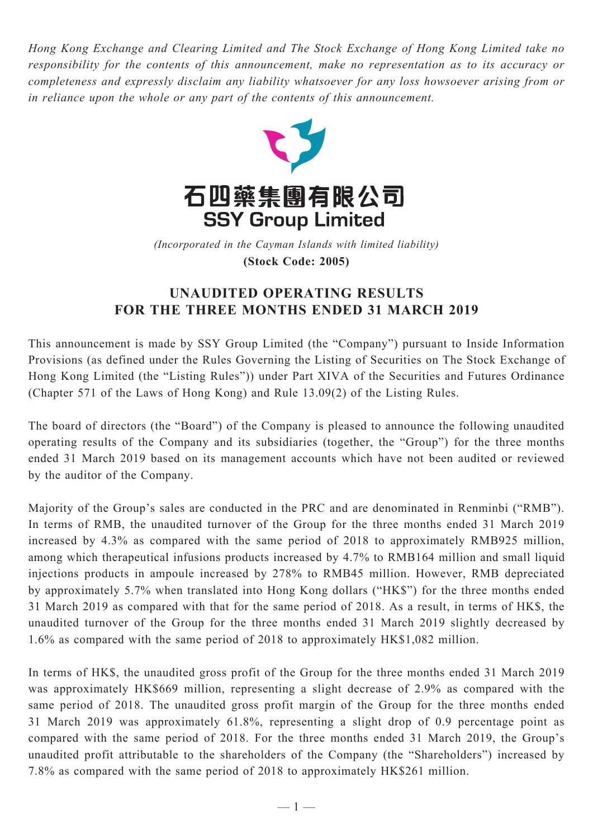*Hong Kong Exchange and Clearing Limited and The Stock Exchange of Hong Kong Limited take no responsibility for the contents of this announcement, make no representation as to its accuracy or completeness and expressly disclaim any liability whatsoever for any loss howsoever arising from or in reliance upon the whole or any part of the contents of this announcement.*



(Incorporated in the Cayman Islands with limited liability) **(Stock Code: 2005)** *(Incorporated in the Cayman Islands with limited liability)* **(Stock Code: 2005)**

## **UNAUDITED OPERATING RESULTS FOR THE THREE MONTHS ENDED 31 MARCH 2019**

This announcement is made by SSY Group Limited (the "Company") pursuant to Inside Information Provisions (as defined under the Rules Governing the Listing of Securities on The Stock Exchange of Hong Kong Limited (the "Listing Rules")) under Part XIVA of the Securities and Futures Ordinance (Chapter 571 of the Laws of Hong Kong) and Rule 13.09(2) of the Listing Rules.

The board of directors (the "Board") of the Company is pleased to announce the following unaudited operating results of the Company and its subsidiaries (together, the "Group") for the three months ended 31 March 2019 based on its management accounts which have not been audited or reviewed by the auditor of the Company.

Majority of the Group's sales are conducted in the PRC and are denominated in Renminbi ("RMB"). In terms of RMB, the unaudited turnover of the Group for the three months ended 31 March 2019 increased by 4.3% as compared with the same period of 2018 to approximately RMB925 million, among which therapeutical infusions products increased by 4.7% to RMB164 million and small liquid injections products in ampoule increased by 278% to RMB45 million. However, RMB depreciated by approximately 5.7% when translated into Hong Kong dollars ("HK\$") for the three months ended 31 March 2019 as compared with that for the same period of 2018. As a result, in terms of HK\$, the unaudited turnover of the Group for the three months ended 31 March 2019 slightly decreased by 1.6% as compared with the same period of 2018 to approximately HK\$1,082 million.

In terms of HK\$, the unaudited gross profit of the Group for the three months ended 31 March 2019 was approximately HK\$669 million, representing a slight decrease of 2.9% as compared with the same period of 2018. The unaudited gross profit margin of the Group for the three months ended 31 March 2019 was approximately 61.8%, representing a slight drop of 0.9 percentage point as compared with the same period of 2018. For the three months ended 31 March 2019, the Group's unaudited profit attributable to the shareholders of the Company (the "Shareholders") increased by 7.8% as compared with the same period of 2018 to approximately HK\$261 million.